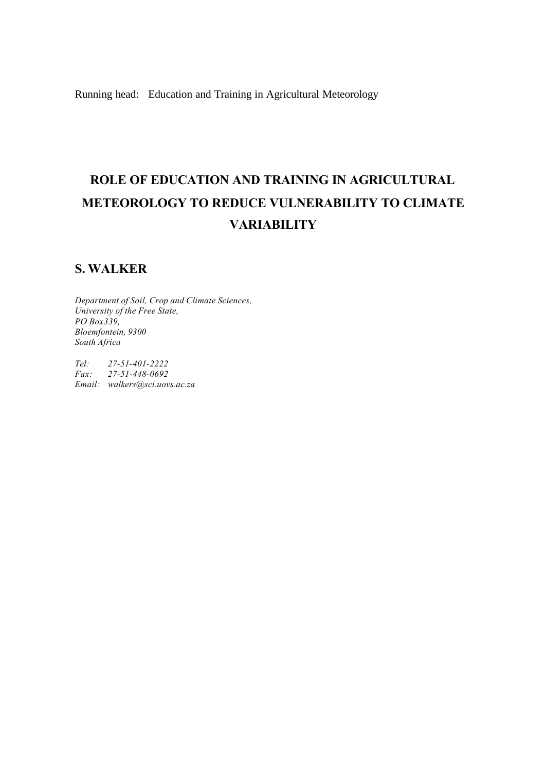Running head: Education and Training in Agricultural Meteorology

# **ROLE OF EDUCATION AND TRAINING IN AGRICULTURAL METEOROLOGY TO REDUCE VULNERABILITY TO CLIMATE VARIABILITY**

# **S. WALKER**

*Department of Soil, Crop and Climate Sciences, University of the Free State, PO Box339, Bloemfontein, 9300 South Africa*

*Tel: 27-51-401-2222 Fax: 27-51-448-0692 Email: walkers@sci.uovs.ac.za*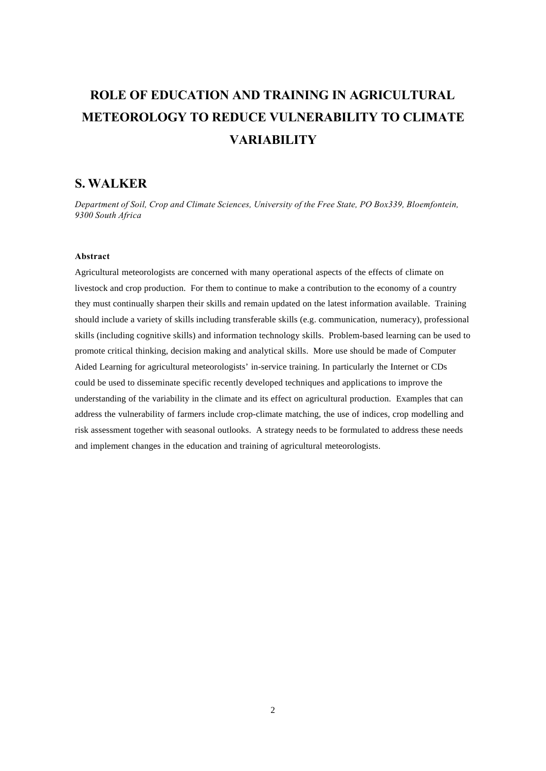# **ROLE OF EDUCATION AND TRAINING IN AGRICULTURAL METEOROLOGY TO REDUCE VULNERABILITY TO CLIMATE VARIABILITY**

# **S. WALKER**

*Department of Soil, Crop and Climate Sciences, University of the Free State, PO Box339, Bloemfontein, 9300 South Africa*

## **Abstract**

Agricultural meteorologists are concerned with many operational aspects of the effects of climate on livestock and crop production. For them to continue to make a contribution to the economy of a country they must continually sharpen their skills and remain updated on the latest information available. Training should include a variety of skills including transferable skills (e.g. communication, numeracy), professional skills (including cognitive skills) and information technology skills. Problem-based learning can be used to promote critical thinking, decision making and analytical skills. More use should be made of Computer Aided Learning for agricultural meteorologists' in-service training. In particularly the Internet or CDs could be used to disseminate specific recently developed techniques and applications to improve the understanding of the variability in the climate and its effect on agricultural production. Examples that can address the vulnerability of farmers include crop-climate matching, the use of indices, crop modelling and risk assessment together with seasonal outlooks. A strategy needs to be formulated to address these needs and implement changes in the education and training of agricultural meteorologists.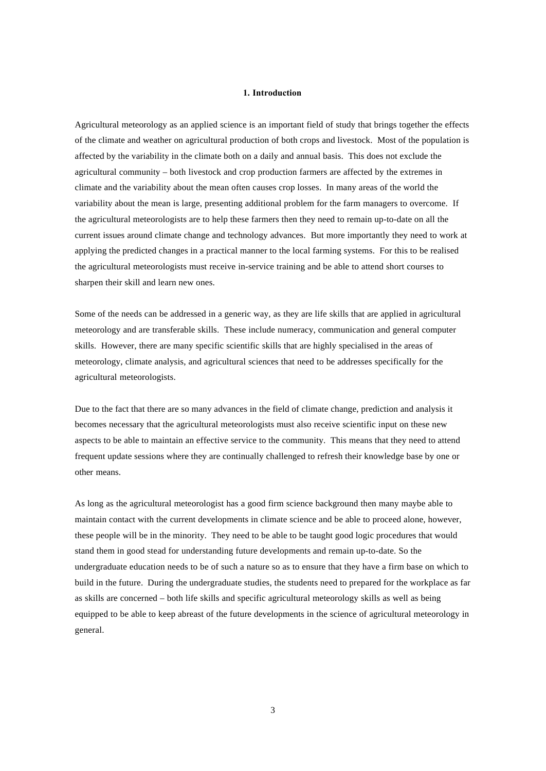### **1. Introduction**

Agricultural meteorology as an applied science is an important field of study that brings together the effects of the climate and weather on agricultural production of both crops and livestock. Most of the population is affected by the variability in the climate both on a daily and annual basis. This does not exclude the agricultural community – both livestock and crop production farmers are affected by the extremes in climate and the variability about the mean often causes crop losses. In many areas of the world the variability about the mean is large, presenting additional problem for the farm managers to overcome. If the agricultural meteorologists are to help these farmers then they need to remain up-to-date on all the current issues around climate change and technology advances. But more importantly they need to work at applying the predicted changes in a practical manner to the local farming systems. For this to be realised the agricultural meteorologists must receive in-service training and be able to attend short courses to sharpen their skill and learn new ones.

Some of the needs can be addressed in a generic way, as they are life skills that are applied in agricultural meteorology and are transferable skills. These include numeracy, communication and general computer skills. However, there are many specific scientific skills that are highly specialised in the areas of meteorology, climate analysis, and agricultural sciences that need to be addresses specifically for the agricultural meteorologists.

Due to the fact that there are so many advances in the field of climate change, prediction and analysis it becomes necessary that the agricultural meteorologists must also receive scientific input on these new aspects to be able to maintain an effective service to the community. This means that they need to attend frequent update sessions where they are continually challenged to refresh their knowledge base by one or other means.

As long as the agricultural meteorologist has a good firm science background then many maybe able to maintain contact with the current developments in climate science and be able to proceed alone, however, these people will be in the minority. They need to be able to be taught good logic procedures that would stand them in good stead for understanding future developments and remain up-to-date. So the undergraduate education needs to be of such a nature so as to ensure that they have a firm base on which to build in the future. During the undergraduate studies, the students need to prepared for the workplace as far as skills are concerned – both life skills and specific agricultural meteorology skills as well as being equipped to be able to keep abreast of the future developments in the science of agricultural meteorology in general.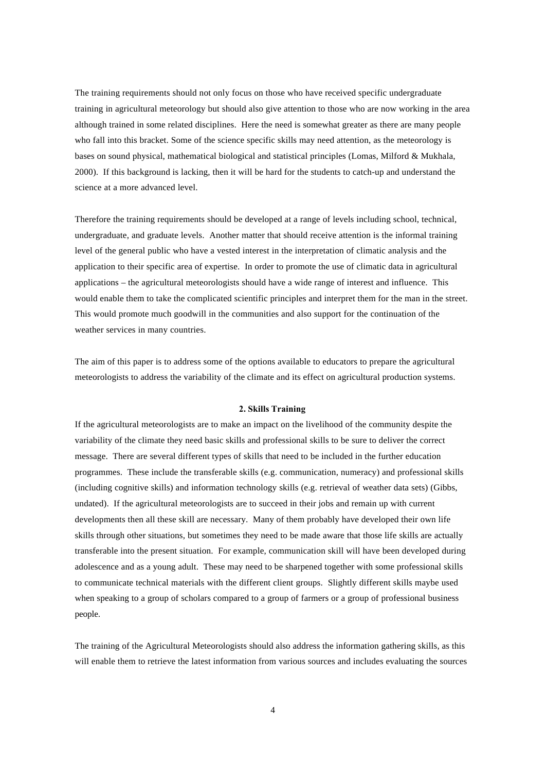The training requirements should not only focus on those who have received specific undergraduate training in agricultural meteorology but should also give attention to those who are now working in the area although trained in some related disciplines. Here the need is somewhat greater as there are many people who fall into this bracket. Some of the science specific skills may need attention, as the meteorology is bases on sound physical, mathematical biological and statistical principles (Lomas, Milford & Mukhala, 2000). If this background is lacking, then it will be hard for the students to catch-up and understand the science at a more advanced level.

Therefore the training requirements should be developed at a range of levels including school, technical, undergraduate, and graduate levels. Another matter that should receive attention is the informal training level of the general public who have a vested interest in the interpretation of climatic analysis and the application to their specific area of expertise. In order to promote the use of climatic data in agricultural applications – the agricultural meteorologists should have a wide range of interest and influence. This would enable them to take the complicated scientific principles and interpret them for the man in the street. This would promote much goodwill in the communities and also support for the continuation of the weather services in many countries.

The aim of this paper is to address some of the options available to educators to prepare the agricultural meteorologists to address the variability of the climate and its effect on agricultural production systems.

#### **2. Skills Training**

If the agricultural meteorologists are to make an impact on the livelihood of the community despite the variability of the climate they need basic skills and professional skills to be sure to deliver the correct message. There are several different types of skills that need to be included in the further education programmes. These include the transferable skills (e.g. communication, numeracy) and professional skills (including cognitive skills) and information technology skills (e.g. retrieval of weather data sets) (Gibbs, undated). If the agricultural meteorologists are to succeed in their jobs and remain up with current developments then all these skill are necessary. Many of them probably have developed their own life skills through other situations, but sometimes they need to be made aware that those life skills are actually transferable into the present situation. For example, communication skill will have been developed during adolescence and as a young adult. These may need to be sharpened together with some professional skills to communicate technical materials with the different client groups. Slightly different skills maybe used when speaking to a group of scholars compared to a group of farmers or a group of professional business people.

The training of the Agricultural Meteorologists should also address the information gathering skills, as this will enable them to retrieve the latest information from various sources and includes evaluating the sources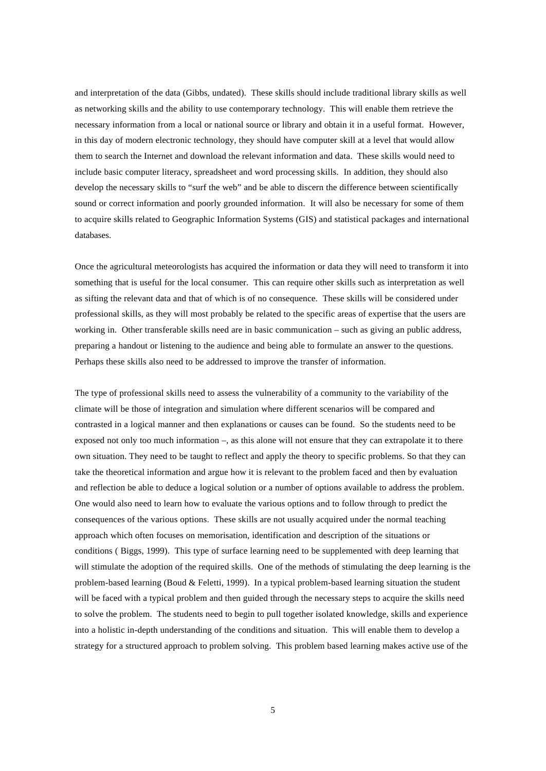and interpretation of the data (Gibbs, undated). These skills should include traditional library skills as well as networking skills and the ability to use contemporary technology. This will enable them retrieve the necessary information from a local or national source or library and obtain it in a useful format. However, in this day of modern electronic technology, they should have computer skill at a level that would allow them to search the Internet and download the relevant information and data. These skills would need to include basic computer literacy, spreadsheet and word processing skills. In addition, they should also develop the necessary skills to "surf the web" and be able to discern the difference between scientifically sound or correct information and poorly grounded information. It will also be necessary for some of them to acquire skills related to Geographic Information Systems (GIS) and statistical packages and international databases.

Once the agricultural meteorologists has acquired the information or data they will need to transform it into something that is useful for the local consumer. This can require other skills such as interpretation as well as sifting the relevant data and that of which is of no consequence. These skills will be considered under professional skills, as they will most probably be related to the specific areas of expertise that the users are working in. Other transferable skills need are in basic communication – such as giving an public address, preparing a handout or listening to the audience and being able to formulate an answer to the questions. Perhaps these skills also need to be addressed to improve the transfer of information.

The type of professional skills need to assess the vulnerability of a community to the variability of the climate will be those of integration and simulation where different scenarios will be compared and contrasted in a logical manner and then explanations or causes can be found. So the students need to be exposed not only too much information –, as this alone will not ensure that they can extrapolate it to there own situation. They need to be taught to reflect and apply the theory to specific problems. So that they can take the theoretical information and argue how it is relevant to the problem faced and then by evaluation and reflection be able to deduce a logical solution or a number of options available to address the problem. One would also need to learn how to evaluate the various options and to follow through to predict the consequences of the various options. These skills are not usually acquired under the normal teaching approach which often focuses on memorisation, identification and description of the situations or conditions ( Biggs, 1999). This type of surface learning need to be supplemented with deep learning that will stimulate the adoption of the required skills. One of the methods of stimulating the deep learning is the problem-based learning (Boud & Feletti, 1999). In a typical problem-based learning situation the student will be faced with a typical problem and then guided through the necessary steps to acquire the skills need to solve the problem. The students need to begin to pull together isolated knowledge, skills and experience into a holistic in-depth understanding of the conditions and situation. This will enable them to develop a strategy for a structured approach to problem solving. This problem based learning makes active use of the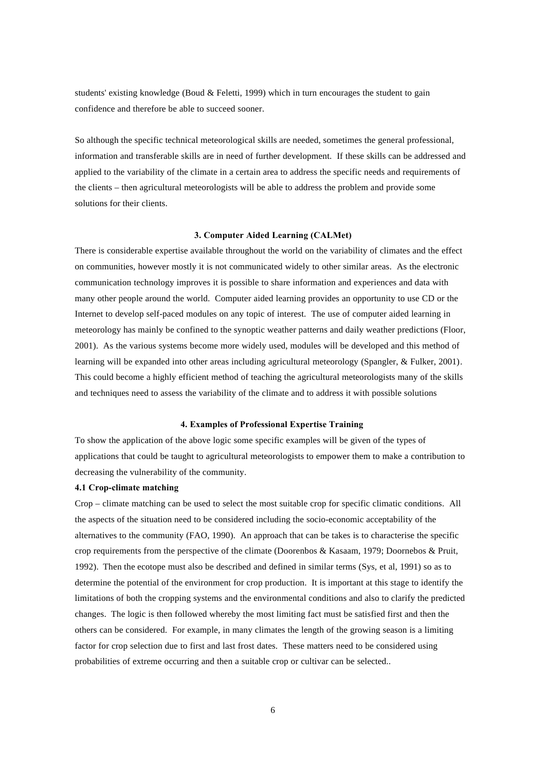students' existing knowledge (Boud & Feletti, 1999) which in turn encourages the student to gain confidence and therefore be able to succeed sooner.

So although the specific technical meteorological skills are needed, sometimes the general professional, information and transferable skills are in need of further development. If these skills can be addressed and applied to the variability of the climate in a certain area to address the specific needs and requirements of the clients – then agricultural meteorologists will be able to address the problem and provide some solutions for their clients.

#### **3. Computer Aided Learning (CALMet)**

There is considerable expertise available throughout the world on the variability of climates and the effect on communities, however mostly it is not communicated widely to other similar areas. As the electronic communication technology improves it is possible to share information and experiences and data with many other people around the world. Computer aided learning provides an opportunity to use CD or the Internet to develop self-paced modules on any topic of interest. The use of computer aided learning in meteorology has mainly be confined to the synoptic weather patterns and daily weather predictions (Floor, 2001). As the various systems become more widely used, modules will be developed and this method of learning will be expanded into other areas including agricultural meteorology (Spangler, & Fulker, 2001). This could become a highly efficient method of teaching the agricultural meteorologists many of the skills and techniques need to assess the variability of the climate and to address it with possible solutions

#### **4. Examples of Professional Expertise Training**

To show the application of the above logic some specific examples will be given of the types of applications that could be taught to agricultural meteorologists to empower them to make a contribution to decreasing the vulnerability of the community.

### **4.1 Crop-climate matching**

Crop – climate matching can be used to select the most suitable crop for specific climatic conditions. All the aspects of the situation need to be considered including the socio-economic acceptability of the alternatives to the community (FAO, 1990). An approach that can be takes is to characterise the specific crop requirements from the perspective of the climate (Doorenbos & Kasaam, 1979; Doornebos & Pruit, 1992). Then the ecotope must also be described and defined in similar terms (Sys, et al, 1991) so as to determine the potential of the environment for crop production. It is important at this stage to identify the limitations of both the cropping systems and the environmental conditions and also to clarify the predicted changes. The logic is then followed whereby the most limiting fact must be satisfied first and then the others can be considered. For example, in many climates the length of the growing season is a limiting factor for crop selection due to first and last frost dates. These matters need to be considered using probabilities of extreme occurring and then a suitable crop or cultivar can be selected..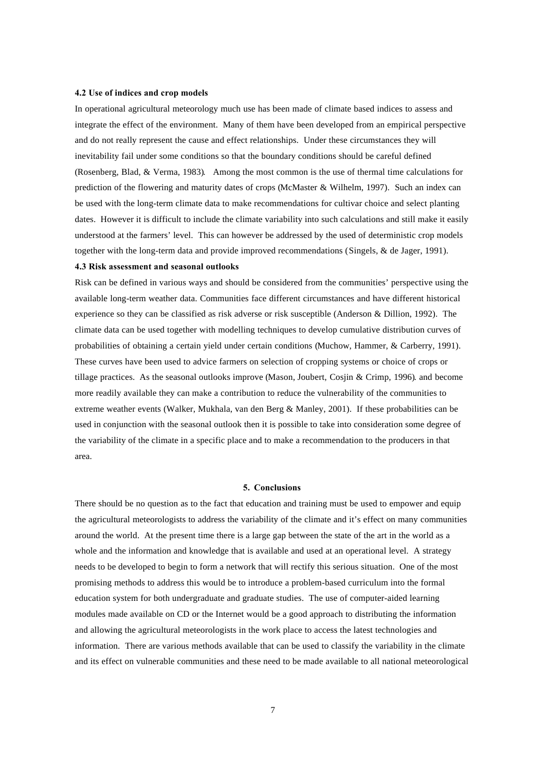#### **4.2 Use of indices and crop models**

In operational agricultural meteorology much use has been made of climate based indices to assess and integrate the effect of the environment. Many of them have been developed from an empirical perspective and do not really represent the cause and effect relationships. Under these circumstances they will inevitability fail under some conditions so that the boundary conditions should be careful defined (Rosenberg, Blad, & Verma, 1983). Among the most common is the use of thermal time calculations for prediction of the flowering and maturity dates of crops (McMaster & Wilhelm, 1997). Such an index can be used with the long-term climate data to make recommendations for cultivar choice and select planting dates. However it is difficult to include the climate variability into such calculations and still make it easily understood at the farmers' level. This can however be addressed by the used of deterministic crop models together with the long-term data and provide improved recommendations (Singels, & de Jager, 1991).

#### **4.3 Risk assessment and seasonal outlooks**

Risk can be defined in various ways and should be considered from the communities' perspective using the available long-term weather data. Communities face different circumstances and have different historical experience so they can be classified as risk adverse or risk susceptible (Anderson & Dillion, 1992). The climate data can be used together with modelling techniques to develop cumulative distribution curves of probabilities of obtaining a certain yield under certain conditions (Muchow, Hammer, & Carberry, 1991). These curves have been used to advice farmers on selection of cropping systems or choice of crops or tillage practices. As the seasonal outlooks improve (Mason, Joubert, Cosjin & Crimp, 1996). and become more readily available they can make a contribution to reduce the vulnerability of the communities to extreme weather events (Walker, Mukhala, van den Berg & Manley, 2001). If these probabilities can be used in conjunction with the seasonal outlook then it is possible to take into consideration some degree of the variability of the climate in a specific place and to make a recommendation to the producers in that area.

#### **5. Conclusions**

There should be no question as to the fact that education and training must be used to empower and equip the agricultural meteorologists to address the variability of the climate and it's effect on many communities around the world. At the present time there is a large gap between the state of the art in the world as a whole and the information and knowledge that is available and used at an operational level. A strategy needs to be developed to begin to form a network that will rectify this serious situation. One of the most promising methods to address this would be to introduce a problem-based curriculum into the formal education system for both undergraduate and graduate studies. The use of computer-aided learning modules made available on CD or the Internet would be a good approach to distributing the information and allowing the agricultural meteorologists in the work place to access the latest technologies and information. There are various methods available that can be used to classify the variability in the climate and its effect on vulnerable communities and these need to be made available to all national meteorological